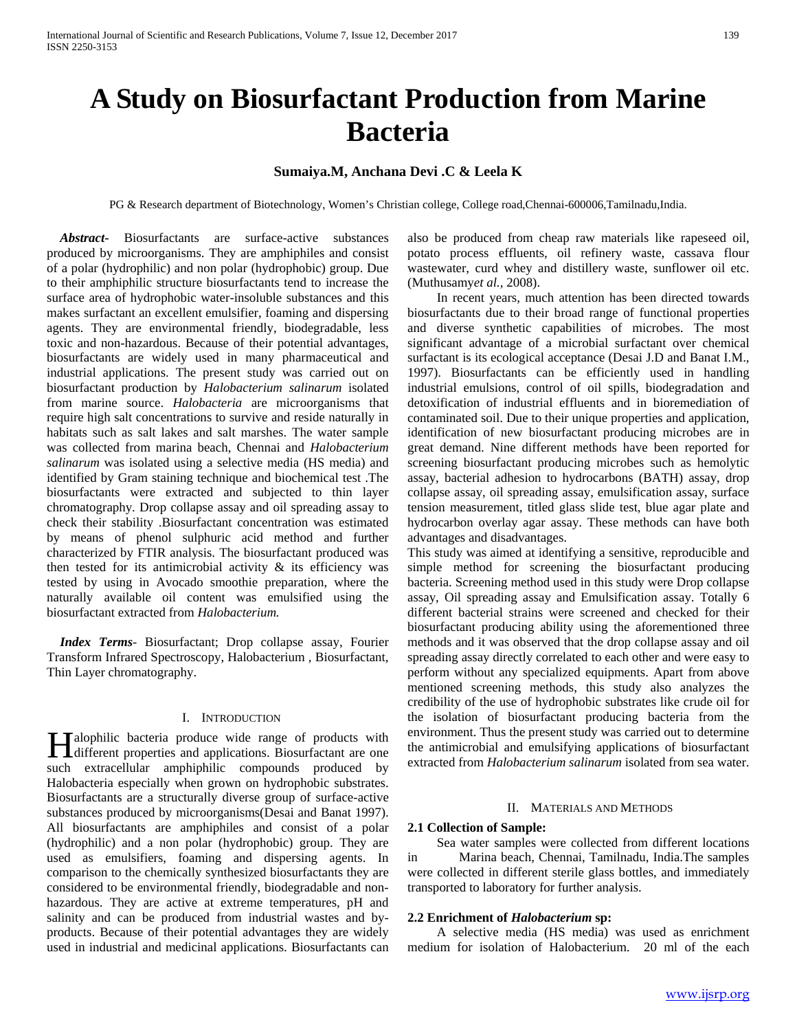# **A Study on Biosurfactant Production from Marine Bacteria**

# **Sumaiya.M, Anchana Devi .C & Leela K**

PG & Research department of Biotechnology, Women's Christian college, College road,Chennai-600006,Tamilnadu,India.

 *Abstract***-** Biosurfactants are surface-active substances produced by microorganisms. They are amphiphiles and consist of a polar (hydrophilic) and non polar (hydrophobic) group. Due to their amphiphilic structure biosurfactants tend to increase the surface area of hydrophobic water-insoluble substances and this makes surfactant an excellent emulsifier, foaming and dispersing agents. They are environmental friendly, biodegradable, less toxic and non-hazardous. Because of their potential advantages, biosurfactants are widely used in many pharmaceutical and industrial applications. The present study was carried out on biosurfactant production by *Halobacterium salinarum* isolated from marine source. *Halobacteria* are microorganisms that require high salt concentrations to survive and reside naturally in habitats such as salt lakes and salt marshes. The water sample was collected from marina beach, Chennai and *Halobacterium salinarum* was isolated using a selective media (HS media) and identified by Gram staining technique and biochemical test .The biosurfactants were extracted and subjected to thin layer chromatography. Drop collapse assay and oil spreading assay to check their stability .Biosurfactant concentration was estimated by means of phenol sulphuric acid method and further characterized by FTIR analysis. The biosurfactant produced was then tested for its antimicrobial activity  $\&$  its efficiency was tested by using in Avocado smoothie preparation, where the naturally available oil content was emulsified using the biosurfactant extracted from *Halobacterium.*

 *Index Terms*- Biosurfactant; Drop collapse assay, Fourier Transform Infrared Spectroscopy, Halobacterium , Biosurfactant, Thin Layer chromatography.

#### I. INTRODUCTION

alophilic bacteria produce wide range of products with **H**alophilic bacteria produce wide range of products with different properties and applications. Biosurfactant are one such extracellular amphiphilic compounds produced by Halobacteria especially when grown on hydrophobic substrates. Biosurfactants are a structurally diverse group of surface-active substances produced by microorganisms(Desai and Banat 1997). All biosurfactants are amphiphiles and consist of a polar (hydrophilic) and a non polar (hydrophobic) group. They are used as emulsifiers, foaming and dispersing agents. In comparison to the chemically synthesized biosurfactants they are considered to be environmental friendly, biodegradable and nonhazardous. They are active at extreme temperatures, pH and salinity and can be produced from industrial wastes and byproducts. Because of their potential advantages they are widely used in industrial and medicinal applications. Biosurfactants can

also be produced from cheap raw materials like rapeseed oil, potato process effluents, oil refinery waste, cassava flour wastewater, curd whey and distillery waste, sunflower oil etc. (Muthusamy*et al.,* 2008).

 In recent years, much attention has been directed towards biosurfactants due to their broad range of functional properties and diverse synthetic capabilities of microbes. The most significant advantage of a microbial surfactant over chemical surfactant is its ecological acceptance (Desai J.D and Banat I.M., 1997). Biosurfactants can be efficiently used in handling industrial emulsions, control of oil spills, biodegradation and detoxification of industrial effluents and in bioremediation of contaminated soil. Due to their unique properties and application, identification of new biosurfactant producing microbes are in great demand. Nine different methods have been reported for screening biosurfactant producing microbes such as hemolytic assay, bacterial adhesion to hydrocarbons (BATH) assay, drop collapse assay, oil spreading assay, emulsification assay, surface tension measurement, titled glass slide test, blue agar plate and hydrocarbon overlay agar assay. These methods can have both advantages and disadvantages.

This study was aimed at identifying a sensitive, reproducible and simple method for screening the biosurfactant producing bacteria. Screening method used in this study were Drop collapse assay, Oil spreading assay and Emulsification assay. Totally 6 different bacterial strains were screened and checked for their biosurfactant producing ability using the aforementioned three methods and it was observed that the drop collapse assay and oil spreading assay directly correlated to each other and were easy to perform without any specialized equipments. Apart from above mentioned screening methods, this study also analyzes the credibility of the use of hydrophobic substrates like crude oil for the isolation of biosurfactant producing bacteria from the environment. Thus the present study was carried out to determine the antimicrobial and emulsifying applications of biosurfactant extracted from *Halobacterium salinarum* isolated from sea water.

#### II. MATERIALS AND METHODS

#### **2.1 Collection of Sample:**

 Sea water samples were collected from different locations in Marina beach, Chennai, Tamilnadu, India.The samples were collected in different sterile glass bottles, and immediately transported to laboratory for further analysis.

#### **2.2 Enrichment of** *Halobacterium* **sp:**

 A selective media (HS media) was used as enrichment medium for isolation of Halobacterium. 20 ml of the each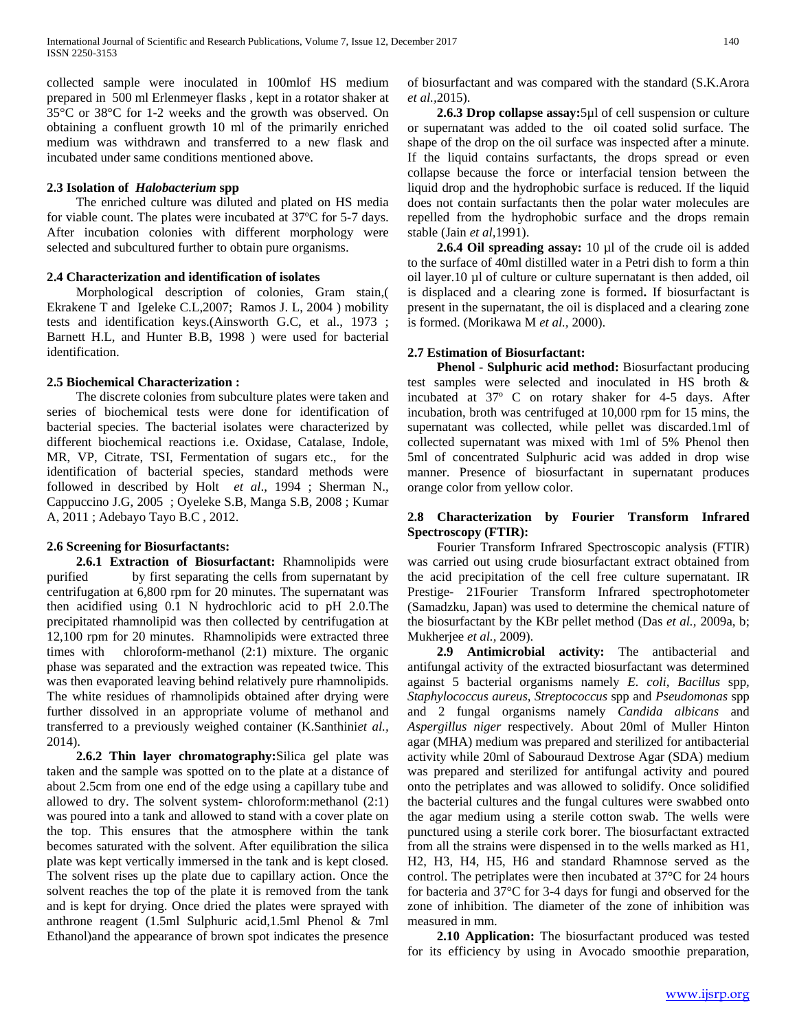collected sample were inoculated in 100mlof HS medium prepared in 500 ml Erlenmeyer flasks , kept in a rotator shaker at 35°C or 38°C for 1-2 weeks and the growth was observed. On obtaining a confluent growth 10 ml of the primarily enriched medium was withdrawn and transferred to a new flask and incubated under same conditions mentioned above.

#### **2.3 Isolation of** *Halobacterium* **spp**

 The enriched culture was diluted and plated on HS media for viable count. The plates were incubated at 37ºC for 5-7 days. After incubation colonies with different morphology were selected and subcultured further to obtain pure organisms.

### **2.4 Characterization and identification of isolates**

 Morphological description of colonies, Gram stain,( Ekrakene T and Igeleke C.L,2007; Ramos J. L, 2004 ) mobility tests and identification keys.(Ainsworth G.C, et al., 1973 ; Barnett H.L, and Hunter B.B, 1998 ) were used for bacterial identification.

# **2.5 Biochemical Characterization :**

 The discrete colonies from subculture plates were taken and series of biochemical tests were done for identification of bacterial species. The bacterial isolates were characterized by different biochemical reactions i.e. Oxidase, Catalase, Indole, MR, VP, Citrate, TSI, Fermentation of sugars etc., for the identification of bacterial species, standard methods were followed in described by Holt *et al*., 1994 ; Sherman N., Cappuccino J.G, 2005 ; Oyeleke S.B, Manga S.B, 2008 ; Kumar A, 2011 ; Adebayo Tayo B.C , 2012.

# **2.6 Screening for Biosurfactants:**

 **2.6.1 Extraction of Biosurfactant:** Rhamnolipids were purified by first separating the cells from supernatant by centrifugation at 6,800 rpm for 20 minutes. The supernatant was then acidified using 0.1 N hydrochloric acid to pH 2.0.The precipitated rhamnolipid was then collected by centrifugation at 12,100 rpm for 20 minutes. Rhamnolipids were extracted three times with chloroform-methanol (2:1) mixture. The organic phase was separated and the extraction was repeated twice. This was then evaporated leaving behind relatively pure rhamnolipids. The white residues of rhamnolipids obtained after drying were further dissolved in an appropriate volume of methanol and transferred to a previously weighed container (K.Santhini*et al.,* 2014).

 **2.6.2 Thin layer chromatography:**Silica gel plate was taken and the sample was spotted on to the plate at a distance of about 2.5cm from one end of the edge using a capillary tube and allowed to dry. The solvent system- chloroform:methanol (2:1) was poured into a tank and allowed to stand with a cover plate on the top. This ensures that the atmosphere within the tank becomes saturated with the solvent. After equilibration the silica plate was kept vertically immersed in the tank and is kept closed. The solvent rises up the plate due to capillary action. Once the solvent reaches the top of the plate it is removed from the tank and is kept for drying. Once dried the plates were sprayed with anthrone reagent (1.5ml Sulphuric acid,1.5ml Phenol & 7ml Ethanol)and the appearance of brown spot indicates the presence of biosurfactant and was compared with the standard (S.K.Arora *et al.,*2015).

 **2.6.3 Drop collapse assay:**5µl of cell suspension or culture or supernatant was added to the oil coated solid surface. The shape of the drop on the oil surface was inspected after a minute. If the liquid contains surfactants, the drops spread or even collapse because the force or interfacial tension between the liquid drop and the hydrophobic surface is reduced. If the liquid does not contain surfactants then the polar water molecules are repelled from the hydrophobic surface and the drops remain stable (Jain *et al,*1991).

**2.6.4 Oil spreading assay:** 10 µl of the crude oil is added to the surface of 40ml distilled water in a Petri dish to form a thin oil layer.10 µl of culture or culture supernatant is then added, oil is displaced and a clearing zone is formed**.** If biosurfactant is present in the supernatant, the oil is displaced and a clearing zone is formed. (Morikawa M *et al.,* 2000).

#### **2.7 Estimation of Biosurfactant:**

 **Phenol - Sulphuric acid method:** Biosurfactant producing test samples were selected and inoculated in HS broth & incubated at 37º C on rotary shaker for 4-5 days. After incubation, broth was centrifuged at 10,000 rpm for 15 mins, the supernatant was collected, while pellet was discarded.1ml of collected supernatant was mixed with 1ml of 5% Phenol then 5ml of concentrated Sulphuric acid was added in drop wise manner. Presence of biosurfactant in supernatant produces orange color from yellow color.

# **2.8 Characterization by Fourier Transform Infrared Spectroscopy (FTIR):**

 Fourier Transform Infrared Spectroscopic analysis (FTIR) was carried out using crude biosurfactant extract obtained from the acid precipitation of the cell free culture supernatant. IR Prestige- 21Fourier Transform Infrared spectrophotometer (Samadzku, Japan) was used to determine the chemical nature of the biosurfactant by the KBr pellet method (Das *et al.,* 2009a, b; Mukherjee *et al.,* 2009).

 **2.9 Antimicrobial activity:** The antibacterial and antifungal activity of the extracted biosurfactant was determined against 5 bacterial organisms namely *E. coli, Bacillus* spp*, Staphylococcus aureus, Streptococcus* spp and *Pseudomonas* spp and 2 fungal organisms namely *Candida albicans* and *Aspergillus niger* respectively*.* About 20ml of Muller Hinton agar (MHA) medium was prepared and sterilized for antibacterial activity while 20ml of Sabouraud Dextrose Agar (SDA) medium was prepared and sterilized for antifungal activity and poured onto the petriplates and was allowed to solidify. Once solidified the bacterial cultures and the fungal cultures were swabbed onto the agar medium using a sterile cotton swab. The wells were punctured using a sterile cork borer. The biosurfactant extracted from all the strains were dispensed in to the wells marked as H1, H2, H3, H4, H5, H6 and standard Rhamnose served as the control. The petriplates were then incubated at 37°C for 24 hours for bacteria and 37°C for 3-4 days for fungi and observed for the zone of inhibition. The diameter of the zone of inhibition was measured in mm.

 **2.10 Application:** The biosurfactant produced was tested for its efficiency by using in Avocado smoothie preparation,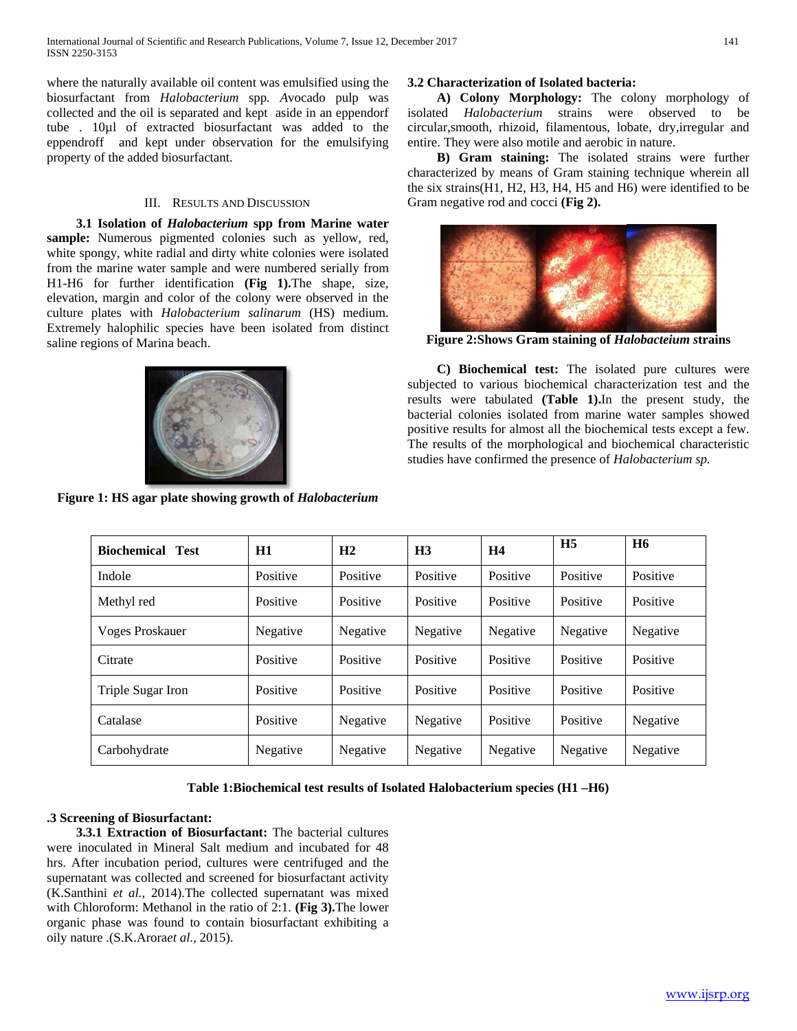where the naturally available oil content was emulsified using the biosurfactant from *Halobacterium* spp*. A*vocado pulp was collected and the oil is separated and kept aside in an eppendorf tube . 10µl of extracted biosurfactant was added to the eppendroff and kept under observation for the emulsifying property of the added biosurfactant.

#### III. RESULTS AND DISCUSSION

 **3.1 Isolation of** *Halobacterium* **spp from Marine water sample:** Numerous pigmented colonies such as yellow, red, white spongy, white radial and dirty white colonies were isolated from the marine water sample and were numbered serially from H1-H6 for further identification **(Fig 1).**The shape, size, elevation, margin and color of the colony were observed in the culture plates with *Halobacterium salinarum* (HS) medium. Extremely halophilic species have been isolated from distinct saline regions of Marina beach.



**Figure 1: HS agar plate showing growth of** *Halobacterium*

# **3.2 Characterization of Isolated bacteria:**

 **A) Colony Morphology:** The colony morphology of isolated *Halobacterium* strains were observed to be circular,smooth, rhizoid, filamentous, lobate, dry,irregular and entire. They were also motile and aerobic in nature.

 **B) Gram staining:** The isolated strains were further characterized by means of Gram staining technique wherein all the six strains(H1, H2, H3, H4, H5 and H6) were identified to be Gram negative rod and cocci **(Fig 2).**



**Figure 2:Shows Gram staining of** *Halobacteium s***trains**

 **C) Biochemical test:** The isolated pure cultures were subjected to various biochemical characterization test and the results were tabulated **(Table 1).**In the present study, the bacterial colonies isolated from marine water samples showed positive results for almost all the biochemical tests except a few. The results of the morphological and biochemical characteristic studies have confirmed the presence of *Halobacterium sp.*

| <b>Biochemical Test</b> | H1       | H <sub>2</sub> | H <sub>3</sub> | H4       | H <sub>5</sub> | <b>H6</b> |
|-------------------------|----------|----------------|----------------|----------|----------------|-----------|
| Indole                  | Positive | Positive       | Positive       | Positive | Positive       | Positive  |
| Methyl red              | Positive | Positive       | Positive       | Positive | Positive       | Positive  |
| <b>Voges Proskauer</b>  | Negative | Negative       | Negative       | Negative | Negative       | Negative  |
| Citrate                 | Positive | Positive       | Positive       | Positive | Positive       | Positive  |
| Triple Sugar Iron       | Positive | Positive       | Positive       | Positive | Positive       | Positive  |
| Catalase                | Positive | Negative       | Negative       | Positive | Positive       | Negative  |
| Carbohydrate            | Negative | Negative       | Negative       | Negative | Negative       | Negative  |

# **Table 1:Biochemical test results of Isolated Halobacterium species (H1 –H6)**

# **.3 Screening of Biosurfactant:**

 **3.3.1 Extraction of Biosurfactant:** The bacterial cultures were inoculated in Mineral Salt medium and incubated for 48 hrs. After incubation period, cultures were centrifuged and the supernatant was collected and screened for biosurfactant activity (K.Santhini *et al.,* 2014).The collected supernatant was mixed with Chloroform: Methanol in the ratio of 2:1. **(Fig 3).**The lower organic phase was found to contain biosurfactant exhibiting a oily nature .(S.K.Arora*et al.,* 2015).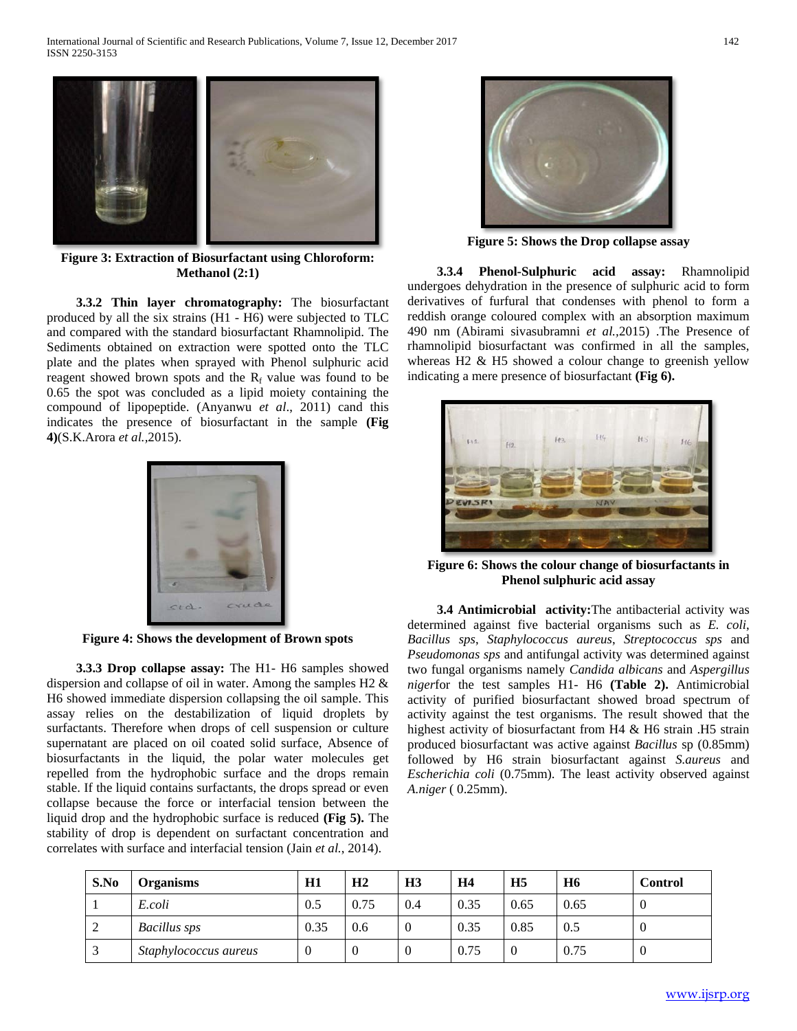

**Figure 3: Extraction of Biosurfactant using Chloroform: Methanol (2:1)**

 **3.3.2 Thin layer chromatography:** The biosurfactant produced by all the six strains (H1 - H6) were subjected to TLC and compared with the standard biosurfactant Rhamnolipid. The Sediments obtained on extraction were spotted onto the TLC plate and the plates when sprayed with Phenol sulphuric acid reagent showed brown spots and the  $R_f$  value was found to be 0.65 the spot was concluded as a lipid moiety containing the compound of lipopeptide. (Anyanwu *et al*., 2011) cand this indicates the presence of biosurfactant in the sample **(Fig 4)**(S.K.Arora *et al.,*2015).



**Figure 4: Shows the development of Brown spots**

 **3.3.3 Drop collapse assay:** The H1- H6 samples showed dispersion and collapse of oil in water. Among the samples H2 & H6 showed immediate dispersion collapsing the oil sample. This assay relies on the destabilization of liquid droplets by surfactants. Therefore when drops of cell suspension or culture supernatant are placed on oil coated solid surface, Absence of biosurfactants in the liquid, the polar water molecules get repelled from the hydrophobic surface and the drops remain stable. If the liquid contains surfactants, the drops spread or even collapse because the force or interfacial tension between the liquid drop and the hydrophobic surface is reduced **(Fig 5).** The stability of drop is dependent on surfactant concentration and correlates with surface and interfacial tension (Jain *et al.*, 2014).



**Figure 5: Shows the Drop collapse assay**

 **3.3.4 Phenol-Sulphuric acid assay:** Rhamnolipid undergoes dehydration in the presence of sulphuric acid to form derivatives of furfural that condenses with phenol to form a reddish orange coloured complex with an absorption maximum 490 nm (Abirami sivasubramni *et al.,*2015) .The Presence of rhamnolipid biosurfactant was confirmed in all the samples, whereas H2 & H5 showed a colour change to greenish yellow indicating a mere presence of biosurfactant **(Fig 6).**



**Figure 6: Shows the colour change of biosurfactants in Phenol sulphuric acid assay**

 **3.4 Antimicrobial activity:**The antibacterial activity was determined against five bacterial organisms such as *E. coli*, *Bacillus sps*, *Staphylococcus aureus*, *Streptococcus sps* and *Pseudomonas sps* and antifungal activity was determined against two fungal organisms namely *Candida albicans* and *Aspergillus niger*for the test samples H1- H6 **(Table 2).** Antimicrobial activity of purified biosurfactant showed broad spectrum of activity against the test organisms. The result showed that the highest activity of biosurfactant from H4 & H6 strain .H5 strain produced biosurfactant was active against *Bacillus* sp (0.85mm) followed by H6 strain biosurfactant against *S.aureus* and *Escherichia coli* (0.75mm). The least activity observed against *A.niger* ( 0.25mm).

| S.No   | <b>Organisms</b>      | H1       | H <sub>2</sub> | H <sub>3</sub> | <b>H4</b> | H <sub>5</sub> | <b>H6</b> | <b>Control</b> |
|--------|-----------------------|----------|----------------|----------------|-----------|----------------|-----------|----------------|
|        | E.coli                | 0.5      | 0.75           | 0.4            | 0.35      | 0.65           | 0.65      | -0             |
| ∠      | <b>Bacillus</b> sps   | 0.35     | 0.6            |                | 0.35      | 0.85           | 0.5       | -0             |
| $\sim$ | Staphylococcus aureus | $\theta$ | 0              |                | 0.75      |                | 0.75      | -0             |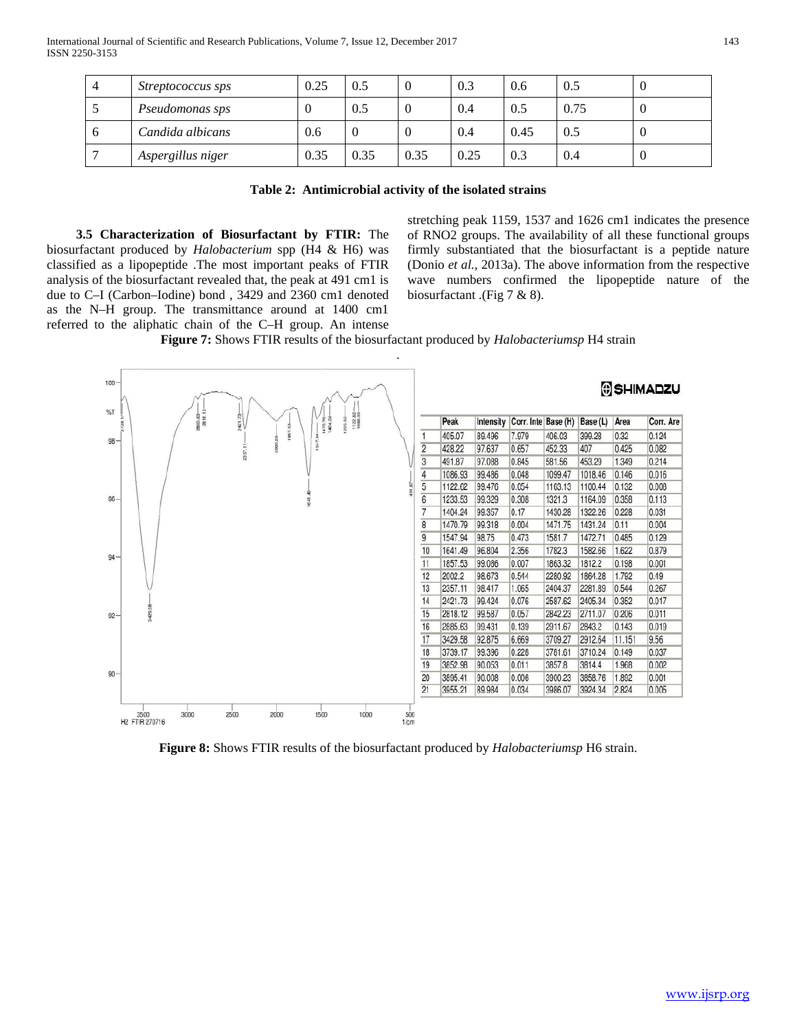| 4 | <i>Streptococcus sps</i> | 0.25 | 0.5  |      | 0.3  | 0.6  | 0.5  |  |
|---|--------------------------|------|------|------|------|------|------|--|
|   | Pseudomonas sps          |      | 0.5  |      | 0.4  | 0.5  | 0.75 |  |
| O | Candida albicans         | 0.6  | U    |      | 0.4  | 0.45 | 0.5  |  |
|   | Aspergillus niger        | 0.35 | 0.35 | 0.35 | 0.25 | 0.3  | 0.4  |  |

 **3.5 Characterization of Biosurfactant by FTIR:** The biosurfactant produced by *Halobacterium* spp (H4 & H6) was classified as a lipopeptide .The most important peaks of FTIR analysis of the biosurfactant revealed that, the peak at 491 cm1 is due to C–I (Carbon–Iodine) bond , 3429 and 2360 cm1 denoted as the N–H group. The transmittance around at 1400 cm1 referred to the aliphatic chain of the C–H group. An intense

stretching peak 1159, 1537 and 1626 cm1 indicates the presence of RNO2 groups. The availability of all these functional groups firmly substantiated that the biosurfactant is a peptide nature (Donio *et al.,* 2013a). The above information from the respective wave numbers confirmed the lipopeptide nature of the biosurfactant .(Fig 7 & 8).

**Figure 7:** Shows FTIR results of the biosurfactant produced by *Halobacteriumsp* H4 strain



**Figure 8:** Shows FTIR results of the biosurfactant produced by *Halobacteriumsp* H6 strain.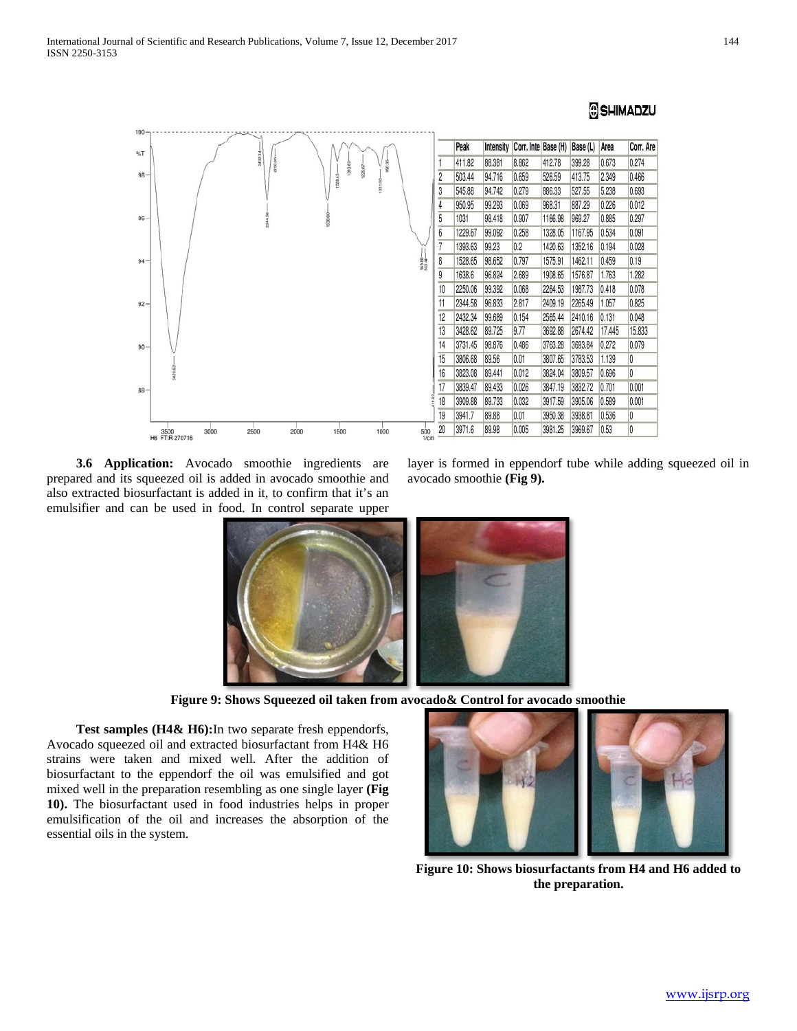# SHIMADZU



 **3.6 Application:** Avocado smoothie ingredients are prepared and its squeezed oil is added in avocado smoothie and also extracted biosurfactant is added in it, to confirm that it's an emulsifier and can be used in food. In control separate upper

layer is formed in eppendorf tube while adding squeezed oil in avocado smoothie **(Fig 9).**



**Figure 9: Shows Squeezed oil taken from avocado& Control for avocado smoothie**

 **Test samples (H4& H6):**In two separate fresh eppendorfs, Avocado squeezed oil and extracted biosurfactant from H4& H6 strains were taken and mixed well. After the addition of biosurfactant to the eppendorf the oil was emulsified and got mixed well in the preparation resembling as one single layer **(Fig 10).** The biosurfactant used in food industries helps in proper emulsification of the oil and increases the absorption of the essential oils in the system.



**Figure 10: Shows biosurfactants from H4 and H6 added to the preparation.**